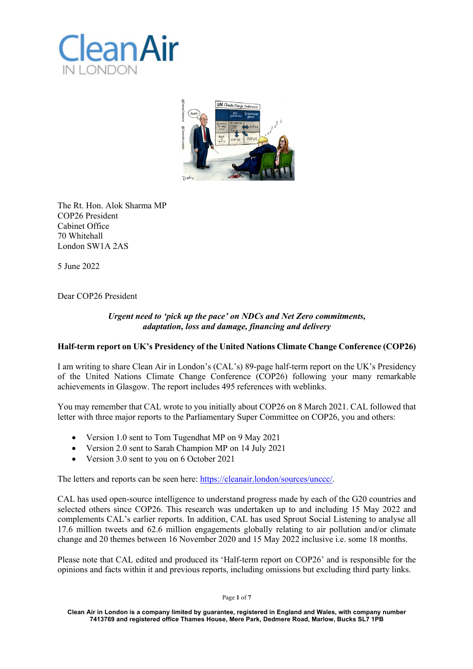



The Rt. Hon. Alok Sharma MP COP26 President Cabinet Office 70 Whitehall London SW1A 2AS

5 June 2022

Dear COP26 President

## *Urgent need to 'pick up the pace' on NDCs and Net Zero commitments, adaptation, loss and damage, financing and delivery*

# **Half-term report on UK's Presidency of the United Nations Climate Change Conference (COP26)**

I am writing to share Clean Air in London's (CAL's) 89-page half-term report on the UK's Presidency of the United Nations Climate Change Conference (COP26) following your many remarkable achievements in Glasgow. The report includes 495 references with weblinks.

You may remember that CAL wrote to you initially about COP26 on 8 March 2021. CAL followed that letter with three major reports to the Parliamentary Super Committee on COP26, you and others:

- Version 1.0 sent to Tom Tugendhat MP on 9 May 2021
- Version 2.0 sent to Sarah Champion MP on 14 July 2021
- Version 3.0 sent to you on 6 October 2021

The letters and reports can be seen here: https://cleanair.london/sources/unccc/.

CAL has used open-source intelligence to understand progress made by each of the G20 countries and selected others since COP26. This research was undertaken up to and including 15 May 2022 and complements CAL's earlier reports. In addition, CAL has used Sprout Social Listening to analyse all 17.6 million tweets and 62.6 million engagements globally relating to air pollution and/or climate change and 20 themes between 16 November 2020 and 15 May 2022 inclusive i.e. some 18 months.

Please note that CAL edited and produced its 'Half-term report on COP26' and is responsible for the opinions and facts within it and previous reports, including omissions but excluding third party links.

Page **1** of **7**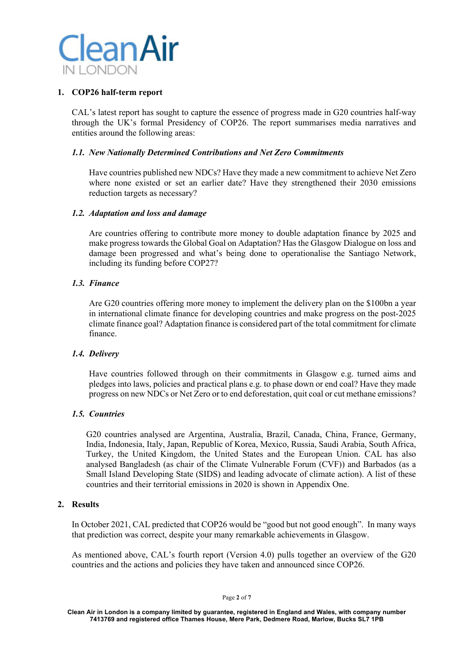

#### **1. COP26 half-term report**

CAL's latest report has sought to capture the essence of progress made in G20 countries half-way through the UK's formal Presidency of COP26. The report summarises media narratives and entities around the following areas:

## *1.1. New Nationally Determined Contributions and Net Zero Commitments*

Have countries published new NDCs? Have they made a new commitment to achieve Net Zero where none existed or set an earlier date? Have they strengthened their 2030 emissions reduction targets as necessary?

## *1.2. Adaptation and loss and damage*

Are countries offering to contribute more money to double adaptation finance by 2025 and make progress towards the Global Goal on Adaptation? Has the Glasgow Dialogue on loss and damage been progressed and what's being done to operationalise the Santiago Network, including its funding before COP27?

## *1.3. Finance*

Are G20 countries offering more money to implement the delivery plan on the \$100bn a year in international climate finance for developing countries and make progress on the post-2025 climate finance goal? Adaptation finance is considered part of the total commitment for climate finance.

#### *1.4. Delivery*

Have countries followed through on their commitments in Glasgow e.g. turned aims and pledges into laws, policies and practical plans e.g. to phase down or end coal? Have they made progress on new NDCs or Net Zero or to end deforestation, quit coal or cut methane emissions?

# *1.5. Countries*

G20 countries analysed are Argentina, Australia, Brazil, Canada, China, France, Germany, India, Indonesia, Italy, Japan, Republic of Korea, Mexico, Russia, Saudi Arabia, South Africa, Turkey, the United Kingdom, the United States and the European Union. CAL has also analysed Bangladesh (as chair of the Climate Vulnerable Forum (CVF)) and Barbados (as a Small Island Developing State (SIDS) and leading advocate of climate action). A list of these countries and their territorial emissions in 2020 is shown in Appendix One.

## **2. Results**

In October 2021, CAL predicted that COP26 would be "good but not good enough". In many ways that prediction was correct, despite your many remarkable achievements in Glasgow.

As mentioned above, CAL's fourth report (Version 4.0) pulls together an overview of the G20 countries and the actions and policies they have taken and announced since COP26.

Page **2** of **7**

**Clean Air in London is a company limited by guarantee, registered in England and Wales, with company number 7413769 and registered office Thames House, Mere Park, Dedmere Road, Marlow, Bucks SL7 1PB**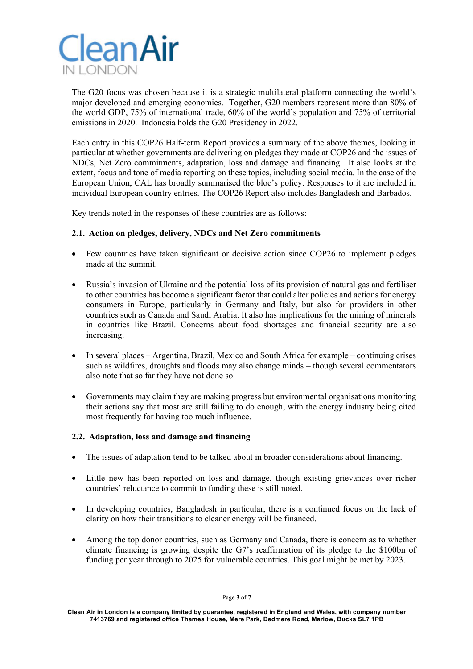

The G20 focus was chosen because it is a strategic multilateral platform connecting the world's major developed and emerging economies. Together, G20 members represent more than 80% of the world GDP, 75% of international trade, 60% of the world's population and 75% of territorial emissions in 2020. Indonesia holds the G20 Presidency in 2022.

Each entry in this COP26 Half-term Report provides a summary of the above themes, looking in particular at whether governments are delivering on pledges they made at COP26 and the issues of NDCs, Net Zero commitments, adaptation, loss and damage and financing. It also looks at the extent, focus and tone of media reporting on these topics, including social media. In the case of the European Union, CAL has broadly summarised the bloc's policy. Responses to it are included in individual European country entries. The COP26 Report also includes Bangladesh and Barbados.

Key trends noted in the responses of these countries are as follows:

# **2.1. Action on pledges, delivery, NDCs and Net Zero commitments**

- Few countries have taken significant or decisive action since COP26 to implement pledges made at the summit.
- Russia's invasion of Ukraine and the potential loss of its provision of natural gas and fertiliser to other countries has become a significant factor that could alter policies and actions for energy consumers in Europe, particularly in Germany and Italy, but also for providers in other countries such as Canada and Saudi Arabia. It also has implications for the mining of minerals in countries like Brazil. Concerns about food shortages and financial security are also increasing.
- In several places Argentina, Brazil, Mexico and South Africa for example continuing crises such as wildfires, droughts and floods may also change minds – though several commentators also note that so far they have not done so.
- Governments may claim they are making progress but environmental organisations monitoring their actions say that most are still failing to do enough, with the energy industry being cited most frequently for having too much influence.

#### **2.2. Adaptation, loss and damage and financing**

- The issues of adaptation tend to be talked about in broader considerations about financing.
- Little new has been reported on loss and damage, though existing grievances over richer countries' reluctance to commit to funding these is still noted.
- In developing countries, Bangladesh in particular, there is a continued focus on the lack of clarity on how their transitions to cleaner energy will be financed.
- Among the top donor countries, such as Germany and Canada, there is concern as to whether climate financing is growing despite the G7's reaffirmation of its pledge to the \$100bn of funding per year through to 2025 for vulnerable countries. This goal might be met by 2023.

**Clean Air in London is a company limited by guarantee, registered in England and Wales, with company number 7413769 and registered office Thames House, Mere Park, Dedmere Road, Marlow, Bucks SL7 1PB**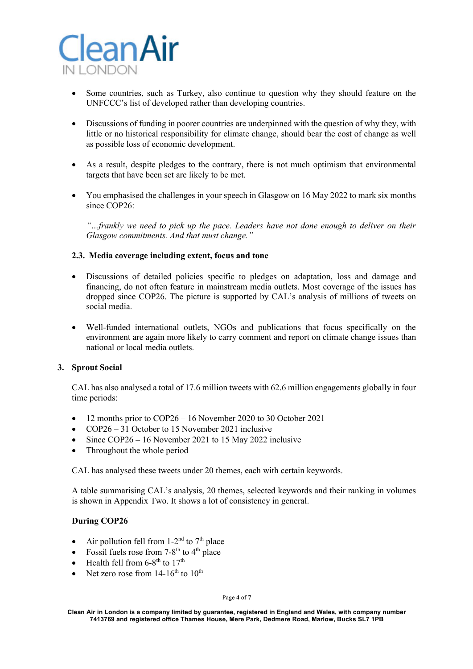

- Some countries, such as Turkey, also continue to question why they should feature on the UNFCCC's list of developed rather than developing countries.
- Discussions of funding in poorer countries are underpinned with the question of why they, with little or no historical responsibility for climate change, should bear the cost of change as well as possible loss of economic development.
- As a result, despite pledges to the contrary, there is not much optimism that environmental targets that have been set are likely to be met.
- You emphasised the challenges in your speech in Glasgow on 16 May 2022 to mark six months since COP26:

*"…frankly we need to pick up the pace. Leaders have not done enough to deliver on their Glasgow commitments. And that must change."*

## **2.3. Media coverage including extent, focus and tone**

- Discussions of detailed policies specific to pledges on adaptation, loss and damage and financing, do not often feature in mainstream media outlets. Most coverage of the issues has dropped since COP26. The picture is supported by CAL's analysis of millions of tweets on social media.
- Well-funded international outlets, NGOs and publications that focus specifically on the environment are again more likely to carry comment and report on climate change issues than national or local media outlets.

#### **3. Sprout Social**

CAL has also analysed a total of 17.6 million tweets with 62.6 million engagements globally in four time periods:

- 12 months prior to COP26 16 November 2020 to 30 October 2021
- COP26 31 October to 15 November 2021 inclusive
- Since COP26 16 November 2021 to 15 May 2022 inclusive
- Throughout the whole period

CAL has analysed these tweets under 20 themes, each with certain keywords.

A table summarising CAL's analysis, 20 themes, selected keywords and their ranking in volumes is shown in Appendix Two. It shows a lot of consistency in general.

#### **During COP26**

- Air pollution fell from  $1-2^{nd}$  to  $7<sup>th</sup>$  place
- Fossil fuels rose from  $7-8^{th}$  to  $4^{th}$  place
- Health fell from  $6-8^{\text{th}}$  to  $17^{\text{th}}$
- Net zero rose from  $14-16^{th}$  to  $10^{th}$

#### Page **4** of **7**

**Clean Air in London is a company limited by guarantee, registered in England and Wales, with company number 7413769 and registered office Thames House, Mere Park, Dedmere Road, Marlow, Bucks SL7 1PB**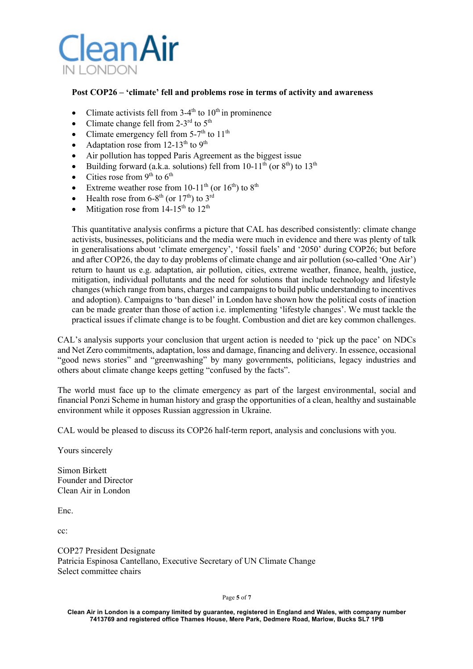

## **Post COP26 – 'climate' fell and problems rose in terms of activity and awareness**

- Climate activists fell from  $3-4<sup>th</sup>$  to  $10<sup>th</sup>$  in prominence
- Climate change fell from 2-3<sup>rd</sup> to  $5<sup>th</sup>$
- Climate emergency fell from  $5-7<sup>th</sup>$  to  $11<sup>th</sup>$
- Adaptation rose from  $12-13^{\text{th}}$  to  $9^{\text{th}}$
- Air pollution has topped Paris Agreement as the biggest issue
- Building forward (a.k.a. solutions) fell from  $10-11^{\text{th}}$  (or  $8^{\text{th}}$ ) to  $13^{\text{th}}$
- Cities rose from  $9<sup>th</sup>$  to  $6<sup>th</sup>$
- Extreme weather rose from  $10-11^{th}$  (or  $16^{th}$ ) to  $8^{th}$
- Health rose from  $6-8^{th}$  (or  $17^{th}$ ) to  $3^{rd}$
- Mitigation rose from  $14-15^{th}$  to  $12^{th}$

This quantitative analysis confirms a picture that CAL has described consistently: climate change activists, businesses, politicians and the media were much in evidence and there was plenty of talk in generalisations about 'climate emergency', 'fossil fuels' and '2050' during COP26; but before and after COP26, the day to day problems of climate change and air pollution (so-called 'One Air') return to haunt us e.g. adaptation, air pollution, cities, extreme weather, finance, health, justice, mitigation, individual pollutants and the need for solutions that include technology and lifestyle changes(which range from bans, charges and campaigns to build public understanding to incentives and adoption). Campaigns to 'ban diesel' in London have shown how the political costs of inaction can be made greater than those of action i.e. implementing 'lifestyle changes'. We must tackle the practical issues if climate change is to be fought. Combustion and diet are key common challenges.

CAL's analysis supports your conclusion that urgent action is needed to 'pick up the pace' on NDCs and Net Zero commitments, adaptation, loss and damage, financing and delivery. In essence, occasional "good news stories" and "greenwashing" by many governments, politicians, legacy industries and others about climate change keeps getting "confused by the facts".

The world must face up to the climate emergency as part of the largest environmental, social and financial Ponzi Scheme in human history and grasp the opportunities of a clean, healthy and sustainable environment while it opposes Russian aggression in Ukraine.

CAL would be pleased to discuss its COP26 half-term report, analysis and conclusions with you.

Yours sincerely

Simon Birkett Founder and Director Clean Air in London

Enc.

cc:

COP27 President Designate Patricia Espinosa Cantellano, Executive Secretary of UN Climate Change Select committee chairs

Page **5** of **7**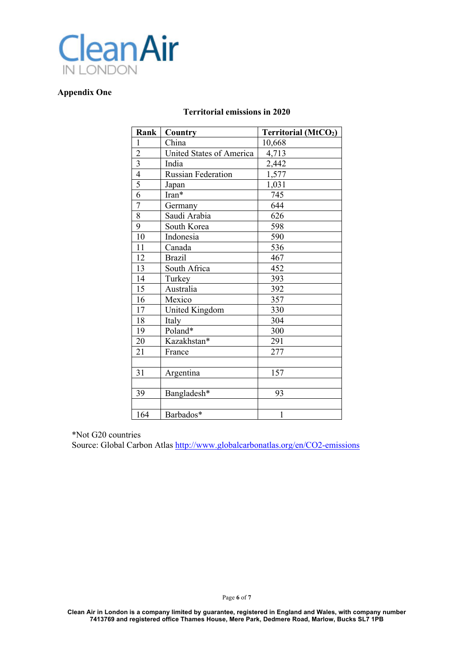

## **Appendix One**

#### **Territorial emissions in 2020**

| Rank           | Country                   | <b>Territorial (MtCO2)</b> |
|----------------|---------------------------|----------------------------|
| 1              | China                     | 10,668                     |
| $\overline{c}$ | United States of America  | 4,713                      |
| 3              | India                     | 2,442                      |
| $\overline{4}$ | <b>Russian Federation</b> | 1,577                      |
| $\overline{5}$ | Japan                     | 1,031                      |
| 6              | Iran*                     | 745                        |
| $\overline{7}$ | Germany                   | 644                        |
| 8              | Saudi Arabia              | 626                        |
| 9              | South Korea               | 598                        |
| 10             | Indonesia                 | 590                        |
| 11             | Canada                    | 536                        |
| 12             | <b>Brazil</b>             | 467                        |
| 13             | South Africa              | 452                        |
| 14             | Turkey                    | 393                        |
| 15             | Australia                 | 392                        |
| 16             | Mexico                    | 357                        |
| 17             | United Kingdom            | 330                        |
| 18             | Italy                     | 304                        |
| 19             | Poland*                   | 300                        |
| 20             | Kazakhstan*               | 291                        |
| 21             | France                    | 277                        |
|                |                           |                            |
| 31             | Argentina                 | 157                        |
|                |                           |                            |
| 39             | Bangladesh*               | 93                         |
|                |                           |                            |
| 164            | Barbados*                 | 1                          |

\*Not G20 countries

Source: Global Carbon Atlas http://www.globalcarbonatlas.org/en/CO2-emissions